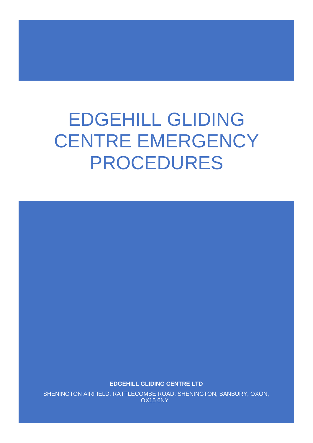# EDGEHILL GLIDING CENTRE EMERGENCY PROCEDURES

**EDGEHILL GLIDING CENTRE LTD**

SHENINGTON AIRFIELD, RATTLECOMBE ROAD, SHENINGTON, BANBURY, OXON, OX15 6NY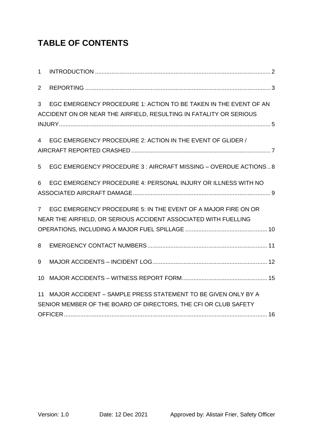### **TABLE OF CONTENTS**

| $\mathbf{1}$   |                                                                                                                                        |  |
|----------------|----------------------------------------------------------------------------------------------------------------------------------------|--|
| $\overline{2}$ |                                                                                                                                        |  |
| 3              | EGC EMERGENCY PROCEDURE 1: ACTION TO BE TAKEN IN THE EVENT OF AN<br>ACCIDENT ON OR NEAR THE AIRFIELD, RESULTING IN FATALITY OR SERIOUS |  |
| 4              | EGC EMERGENCY PROCEDURE 2: ACTION IN THE EVENT OF GLIDER /                                                                             |  |
| 5              | EGC EMERGENCY PROCEDURE 3 : AIRCRAFT MISSING - OVERDUE ACTIONS 8                                                                       |  |
| 6              | EGC EMERGENCY PROCEDURE 4: PERSONAL INJURY OR ILLNESS WITH NO                                                                          |  |
| $7^{\circ}$    | EGC EMERGENCY PROCEDURE 5: IN THE EVENT OF A MAJOR FIRE ON OR<br>NEAR THE AIRFIELD, OR SERIOUS ACCIDENT ASSOCIATED WITH FUELLING       |  |
| 8              |                                                                                                                                        |  |
| 9              |                                                                                                                                        |  |
| 10             |                                                                                                                                        |  |
| 11             | MAJOR ACCIDENT - SAMPLE PRESS STATEMENT TO BE GIVEN ONLY BY A<br>SENIOR MEMBER OF THE BOARD OF DIRECTORS, THE CFI OR CLUB SAFETY       |  |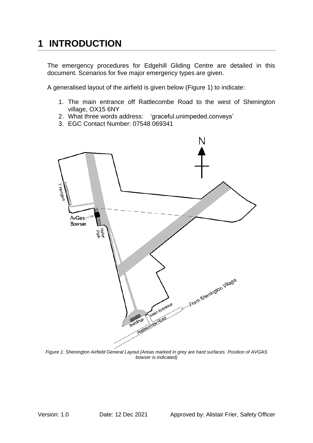### <span id="page-2-0"></span>**1 INTRODUCTION**

The emergency procedures for Edgehill Gliding Centre are detailed in this document. Scenarios for five major emergency types are given.

A generalised layout of the airfield is given below [\(Figure 1\)](#page-2-1) to indicate:

- 1. The main entrance off Rattlecombe Road to the west of Shenington village, [OX15 6NY](https://www.bing.com/local?lid=YN1075x247412897&id=YN1075x247412897&q=Shenington+Gliding+Club&name=Shenington+Gliding+Club&cp=52.080169677734375%7e-1.4734519720077515&ppois=52.080169677734375_-1.4734519720077515_Shenington+Gliding+Club)
- 2. What three words address: 'graceful.unimpeded.conveys'
- 3. EGC Contact Number: 07548 069341



<span id="page-2-1"></span>*Figure 1: Shenington Airfield General Layout (Areas marked in grey are hard surfaces. Position of AVGAS bowser is indicated)*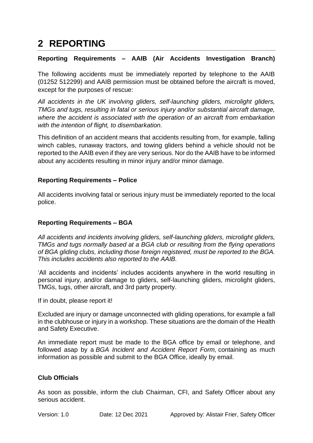### <span id="page-3-0"></span>**2 REPORTING**

#### **Reporting Requirements – AAIB (Air Accidents Investigation Branch)**

The following accidents must be immediately reported by telephone to the AAIB (01252 512299) and AAIB permission must be obtained before the aircraft is moved, except for the purposes of rescue:

*All accidents in the UK involving gliders, self-launching gliders, microlight gliders, TMGs and tugs, resulting in fatal or serious injury and/or substantial aircraft damage, where the accident is associated with the operation of an aircraft from embarkation with the intention of flight, to disembarkation.*

This definition of an accident means that accidents resulting from, for example, falling winch cables, runaway tractors, and towing gliders behind a vehicle should not be reported to the AAIB even if they are very serious. Nor do the AAIB have to be informed about any accidents resulting in minor injury and/or minor damage.

#### **Reporting Requirements – Police**

All accidents involving fatal or serious injury must be immediately reported to the local police.

#### **Reporting Requirements – BGA**

*All accidents and incidents involving gliders, self-launching gliders, microlight gliders, TMGs and tugs normally based at a BGA club or resulting from the flying operations of BGA gliding clubs, including those foreign registered, must be reported to the BGA. This includes accidents also reported to the AAIB.*

'All accidents and incidents' includes accidents anywhere in the world resulting in personal injury, and/or damage to gliders, self-launching gliders, microlight gliders, TMGs, tugs, other aircraft, and 3rd party property.

If in doubt, please report it!

Excluded are injury or damage unconnected with gliding operations, for example a fall in the clubhouse or injury in a workshop. These situations are the domain of the [Health](http://www.hse.gov.uk/riddor/)  [and Safety Executive.](http://www.hse.gov.uk/riddor/)

An immediate report must be made to the BGA office by email or telephone, and followed asap by a *[BGA Incident and Accident Report Form,](https://members.gliding.co.uk/library/safety/bga-accident-report-form-ms-word/)* containing as much information as possible and submit to the BGA Office, ideally by email.

#### **Club Officials**

As soon as possible, inform the club Chairman, CFI, and Safety Officer about any serious accident.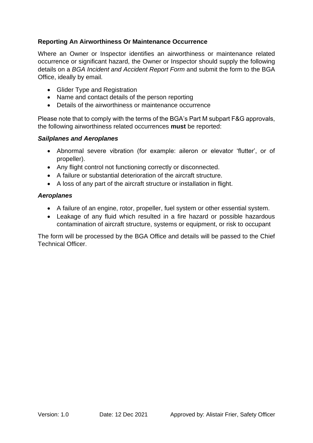### **Reporting An Airworthiness Or Maintenance Occurrence**

Where an Owner or Inspector identifies an airworthiness or maintenance related occurrence or significant hazard, the Owner or Inspector should supply the following details on a *[BGA Incident and Accident Report Form](https://members.gliding.co.uk/library/safety/bga-accident-report-form-ms-word/)* and submit the form to the BGA Office, ideally by email.

- Glider Type and Registration
- Name and contact details of the person reporting
- Details of the airworthiness or maintenance occurrence

Please note that to comply with the terms of the BGA's Part M subpart F&G approvals, the following airworthiness related occurrences **must** be reported:

#### *Sailplanes and Aeroplanes*

- Abnormal severe vibration (for example: aileron or elevator 'flutter', or of propeller).
- Any flight control not functioning correctly or disconnected.
- A failure or substantial deterioration of the aircraft structure.
- A loss of any part of the aircraft structure or installation in flight.

#### *Aeroplanes*

- A failure of an engine, rotor, propeller, fuel system or other essential system.
- Leakage of any fluid which resulted in a fire hazard or possible hazardous contamination of aircraft structure, systems or equipment, or risk to occupant

The form will be processed by the BGA Office and details will be passed to the Chief Technical Officer.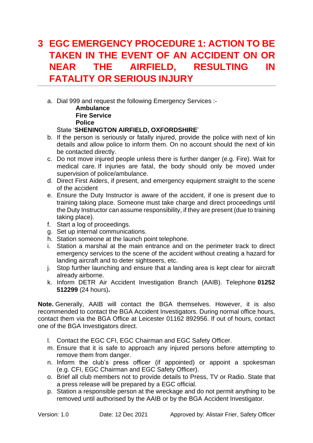### <span id="page-5-0"></span>**3 EGC EMERGENCY PROCEDURE 1: ACTION TO BE TAKEN IN THE EVENT OF AN ACCIDENT ON OR NEAR THE AIRFIELD, RESULTING IN FATALITY OR SERIOUS INJURY**

a. Dial 999 and request the following Emergency Services :-

**Ambulance Fire Service Police**

#### State '**SHENINGTON AIRFIELD, OXFORDSHIRE**'

- b. If the person is seriously or fatally injured, provide the police with next of kin details and allow police to inform them. On no account should the next of kin be contacted directly.
- c. Do not move injured people unless there is further danger (e.g. Fire). Wait for medical care. If injuries are fatal, the body should only be moved under supervision of police/ambulance.
- d. Direct First Aiders, if present, and emergency equipment straight to the scene of the accident
- e. Ensure the Duty Instructor is aware of the accident, if one is present due to training taking place. Someone must take charge and direct proceedings until the Duty Instructor can assume responsibility, if they are present (due to training taking place).
- f. Start a log of proceedings.
- g. Set up internal communications.
- h. Station someone at the launch point telephone.
- i. Station a marshal at the main entrance and on the perimeter track to direct emergency services to the scene of the accident without creating a hazard for landing aircraft and to deter sightseers, etc.
- j. Stop further launching and ensure that a landing area is kept clear for aircraft already airborne.
- k. Inform DETR Air Accident Investigation Branch (AAIB). Telephone **01252 512299** (24 hours)**.**

**Note.** Generally, AAIB will contact the BGA themselves. However, it is also recommended to contact the BGA Accident Investigators. During normal office hours, contact them via the BGA Office at Leicester 01162 892956. If out of hours, contact one of the BGA Investigators direct.

- l. Contact the EGC CFI, EGC Chairman and EGC Safety Officer.
- m. Ensure that it is safe to approach any injured persons before attempting to remove them from danger.
- n. Inform the club's press officer (if appointed) or appoint a spokesman (e.g. CFI, EGC Chairman and EGC Safety Officer).
- o. Brief all club members not to provide details to Press, TV or Radio. State that a press release will be prepared by a EGC official.
- p. Station a responsible person at the wreckage and do not permit anything to be removed until authorised by the AAIB or by the BGA Accident Investigator.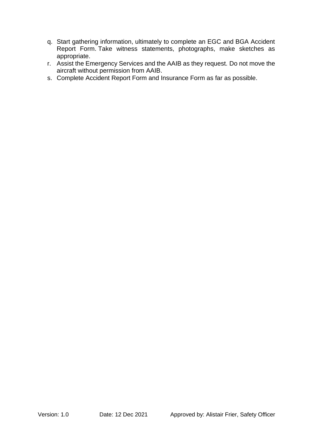- q. Start gathering information, ultimately to complete an EGC and BGA Accident Report Form. Take witness statements, photographs, make sketches as appropriate.
- r. Assist the Emergency Services and the AAIB as they request. Do not move the aircraft without permission from AAIB.
- s. Complete Accident Report Form and Insurance Form as far as possible.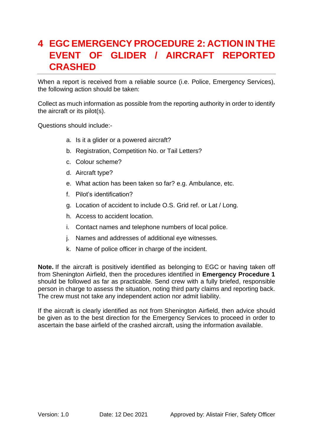### <span id="page-7-0"></span>**4 EGC EMERGENCY PROCEDURE 2: ACTION IN THE EVENT OF GLIDER / AIRCRAFT REPORTED CRASHED**

When a report is received from a reliable source (i.e. Police, Emergency Services), the following action should be taken:

Collect as much information as possible from the reporting authority in order to identify the aircraft or its pilot(s).

Questions should include:-

- a. Is it a glider or a powered aircraft?
- b. Registration, Competition No. or Tail Letters?
- c. Colour scheme?
- d. Aircraft type?
- e. What action has been taken so far? e.g. Ambulance, etc.
- f. Pilot's identification?
- g. Location of accident to include O.S. Grid ref. or Lat / Long.
- h. Access to accident location.
- i. Contact names and telephone numbers of local police.
- j. Names and addresses of additional eye witnesses.
- k. Name of police officer in charge of the incident.

**Note.** If the aircraft is positively identified as belonging to EGC or having taken off from Shenington Airfield, then the procedures identified in **Emergency Procedure 1** should be followed as far as practicable. Send crew with a fully briefed, responsible person in charge to assess the situation, noting third party claims and reporting back. The crew must not take any independent action nor admit liability.

If the aircraft is clearly identified as not from Shenington Airfield, then advice should be given as to the best direction for the Emergency Services to proceed in order to ascertain the base airfield of the crashed aircraft, using the information available.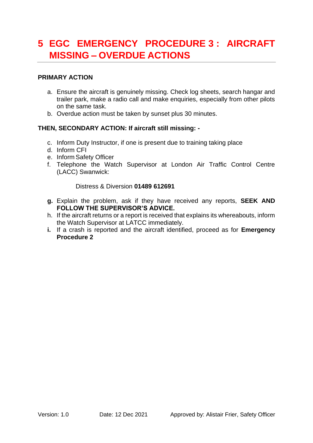### <span id="page-8-0"></span>**5 EGC EMERGENCY PROCEDURE 3 : AIRCRAFT MISSING – OVERDUE ACTIONS**

#### **PRIMARY ACTION**

- a. Ensure the aircraft is genuinely missing. Check log sheets, search hangar and trailer park, make a radio call and make enquiries, especially from other pilots on the same task.
- b. Overdue action must be taken by sunset plus 30 minutes.

#### **THEN, SECONDARY ACTION: If aircraft still missing: -**

- c. Inform Duty Instructor, if one is present due to training taking place
- d. Inform CFI
- e. Inform Safety Officer
- f. Telephone the Watch Supervisor at London Air Traffic Control Centre (LACC) Swanwick:

#### Distress & Diversion **01489 612691**

- **g.** Explain the problem, ask if they have received any reports, **SEEK AND FOLLOW THE SUPERVISOR'S ADVICE.**
- h. If the aircraft returns or a report is received that explains its whereabouts, inform the Watch Supervisor at LATCC immediately.
- **i.** If a crash is reported and the aircraft identified, proceed as for **Emergency Procedure 2**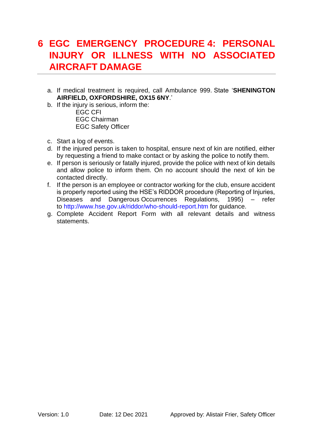### <span id="page-9-0"></span>**6 EGC EMERGENCY PROCEDURE 4: PERSONAL INJURY OR ILLNESS WITH NO ASSOCIATED AIRCRAFT DAMAGE**

- a. If medical treatment is required, call Ambulance 999. State '**SHENINGTON AIRFIELD, OXFORDSHIRE, OX15 6NY**.'
- b. If the injury is serious, inform the:

EGC CFI EGC Chairman EGC Safety Officer

- c. Start a log of events.
- d. If the injured person is taken to hospital, ensure next of kin are notified, either by requesting a friend to make contact or by asking the police to notify them.
- e. If person is seriously or fatally injured, provide the police with next of kin details and allow police to inform them. On no account should the next of kin be contacted directly.
- f. If the person is an employee or contractor working for the club, ensure accident is properly reported using the HSE's RIDDOR procedure (Reporting of Injuries, Diseases and Dangerous Occurrences Regulations, 1995) – refer to http://www.hse.gov.uk/riddor/who-should-report.htm for guidance.
- g. Complete Accident Report Form with all relevant details and witness statements.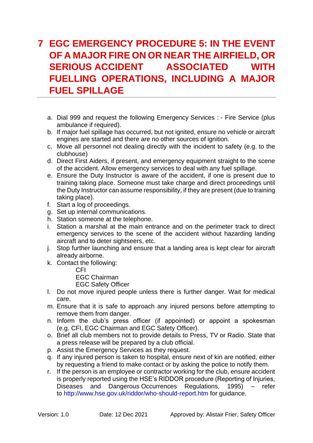### <span id="page-10-0"></span>**7 EGC EMERGENCY PROCEDURE 5: IN THE EVENT OF A MAJOR FIRE ON OR NEAR THE AIRFIELD, OR SERIOUS ACCIDENT ASSOCIATED WITH FUELLING OPERATIONS, INCLUDING A MAJOR FUEL SPILLAGE**

- a. Dial 999 and request the following Emergency Services : Fire Service (plus ambulance if required).
- b. If major fuel spillage has occurred, but not ignited, ensure no vehicle or aircraft engines are started and there are no other sources of ignition.
- c. Move all personnel not dealing directly with the incident to safety (e.g. to the clubhouse)
- d. Direct First Aiders, if present, and emergency equipment straight to the scene of the accident. Allow emergency services to deal with any fuel spillage.
- e. Ensure the Duty Instructor is aware of the accident, if one is present due to training taking place. Someone must take charge and direct proceedings until the Duty Instructor can assume responsibility, if they are present (due to training taking place).
- f. Start a log of proceedings.
- g. Set up internal communications.
- h. Station someone at the telephone.
- i. Station a marshal at the main entrance and on the perimeter track to direct emergency services to the scene of the accident without hazarding landing aircraft and to deter sightseers, etc.
- j. Stop further launching and ensure that a landing area is kept clear for aircraft already airborne.
- k. Contact the following:

CFI

EGC Chairman

EGC Safety Officer

- l. Do not move injured people unless there is further danger. Wait for medical care.
- m. Ensure that it is safe to approach any injured persons before attempting to remove them from danger.
- n. Inform the club's press officer (if appointed) or appoint a spokesman (e.g. CFI, EGC Chairman and EGC Safety Officer).
- o. Brief all club members not to provide details to Press, TV or Radio. State that a press release will be prepared by a club official.
- p. Assist the Emergency Services as they request.
- q. If any injured person is taken to hospital, ensure next of kin are notified, either by requesting a friend to make contact or by asking the police to notify them.
- r. If the person is an employee or contractor working for the club, ensure accident is properly reported using the HSE's RIDDOR procedure (Reporting of Injuries, Diseases and Dangerous Occurrences Regulations, 1995) – refer to http://www.hse.gov.uk/riddor/who-should-report.htm for guidance.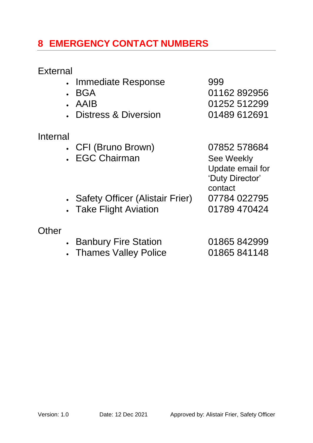### <span id="page-11-0"></span>**8 EMERGENCY CONTACT NUMBERS**

### **External**

- Immediate Response 999
- 
- 
- Distress & Diversion 01489 612691

### Internal

- CFI (Bruno Brown) 07852 578684
- EGC Chairman See Weekly
- Safety Officer (Alistair Frier) 07784 022795
- Take Flight Aviation [01789 470424](tel:01789470424)
- **Other**
- Banbury Fire Station 01865 842999
- Thames Valley Police 01865 841148

## • BGA 01162 892956 • AAIB 01252 512299

Update email for 'Duty Director' contact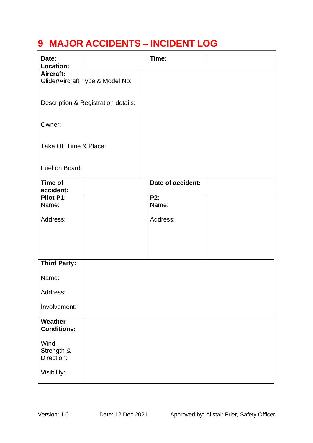### <span id="page-12-0"></span>**9 MAJOR ACCIDENTS – INCIDENT LOG**

| Date:                               |                                  | Time:             |  |
|-------------------------------------|----------------------------------|-------------------|--|
| Location:                           |                                  |                   |  |
| Aircraft:                           | Glider/Aircraft Type & Model No: |                   |  |
| Description & Registration details: |                                  |                   |  |
| Owner:                              |                                  |                   |  |
| Take Off Time & Place:              |                                  |                   |  |
| Fuel on Board:                      |                                  |                   |  |
| Time of<br>accident:                |                                  | Date of accident: |  |
| Pilot P1:                           |                                  | P2:               |  |
| Name:                               |                                  | Name:             |  |
| Address:                            |                                  | Address:          |  |
|                                     |                                  |                   |  |
| <b>Third Party:</b>                 |                                  |                   |  |
| Name:                               |                                  |                   |  |
| Address:                            |                                  |                   |  |
| Involvement:                        |                                  |                   |  |
| Weather<br><b>Conditions:</b>       |                                  |                   |  |
| Wind<br>Strength &<br>Direction:    |                                  |                   |  |
| Visibility:                         |                                  |                   |  |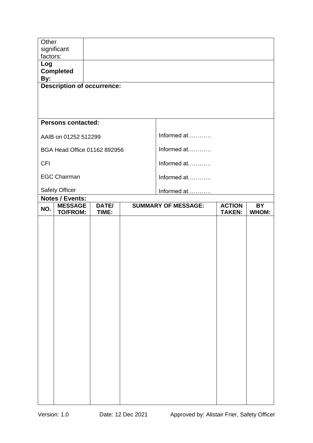| Other           | significant                              |       |  |                            |               |           |
|-----------------|------------------------------------------|-------|--|----------------------------|---------------|-----------|
| factors:<br>Log |                                          |       |  |                            |               |           |
| By:             | <b>Completed</b>                         |       |  |                            |               |           |
|                 | <b>Description of occurrence:</b>        |       |  |                            |               |           |
|                 |                                          |       |  |                            |               |           |
|                 |                                          |       |  |                            |               |           |
|                 | <b>Persons contacted:</b>                |       |  |                            |               |           |
|                 | AAIB on 01252 512299                     |       |  | Informed at                |               |           |
|                 | BGA Head Office 01162 892956             |       |  | Informed at                |               |           |
| <b>CFI</b>      |                                          |       |  | Informed at                |               |           |
|                 | <b>EGC Chairman</b>                      |       |  | Informed at                |               |           |
|                 | <b>Safety Officer</b>                    |       |  | Informed at                |               |           |
| NO.             | <b>Notes / Events:</b><br><b>MESSAGE</b> | DATE/ |  | <b>SUMMARY OF MESSAGE:</b> | <b>ACTION</b> | <b>BY</b> |
|                 | <b>TO/FROM:</b>                          | TIME: |  |                            | <b>TAKEN:</b> | WHOM:     |
|                 |                                          |       |  |                            |               |           |
|                 |                                          |       |  |                            |               |           |
|                 |                                          |       |  |                            |               |           |
|                 |                                          |       |  |                            |               |           |
|                 |                                          |       |  |                            |               |           |
|                 |                                          |       |  |                            |               |           |
|                 |                                          |       |  |                            |               |           |
|                 |                                          |       |  |                            |               |           |
|                 |                                          |       |  |                            |               |           |
|                 |                                          |       |  |                            |               |           |
|                 |                                          |       |  |                            |               |           |
|                 |                                          |       |  |                            |               |           |
|                 |                                          |       |  |                            |               |           |
|                 |                                          |       |  |                            |               |           |
|                 |                                          |       |  |                            |               |           |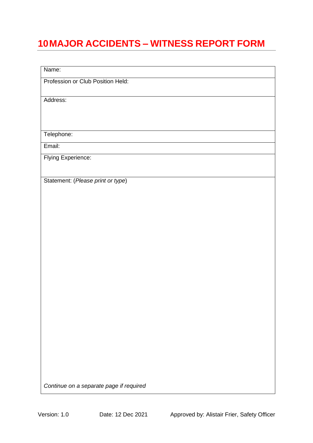## <span id="page-15-0"></span>**10MAJOR ACCIDENTS – WITNESS REPORT FORM**

| Name:                                   |
|-----------------------------------------|
| Profession or Club Position Held:       |
|                                         |
| Address:                                |
|                                         |
|                                         |
| Telephone:                              |
| Email:                                  |
| Flying Experience:                      |
|                                         |
| Statement: (Please print or type)       |
|                                         |
|                                         |
|                                         |
|                                         |
|                                         |
|                                         |
|                                         |
|                                         |
|                                         |
|                                         |
|                                         |
|                                         |
|                                         |
|                                         |
|                                         |
|                                         |
|                                         |
| Continue on a separate page if required |